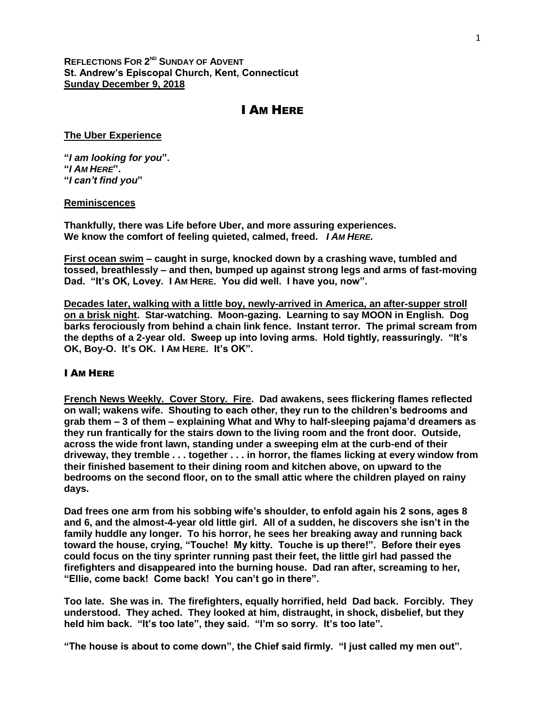## **REFLECTIONS FOR 2 ND SUNDAY OF ADVENT St. Andrew's Episcopal Church, Kent, Connecticut Sunday December 9, 2018**

# I AM HERE

### **The Uber Experience**

**"***I am looking for you***". "***I AM HERE***". "***I can't find you***"**

#### **Reminiscences**

**Thankfully, there was Life before Uber, and more assuring experiences. We know the comfort of feeling quieted, calmed, freed.** *I AM HERE.*

**First ocean swim – caught in surge, knocked down by a crashing wave, tumbled and tossed, breathlessly – and then, bumped up against strong legs and arms of fast-moving Dad. "It's OK, Lovey. I AM HERE. You did well. I have you, now".**

**Decades later, walking with a little boy, newly-arrived in America, an after-supper stroll on a brisk night. Star-watching. Moon-gazing. Learning to say MOON in English. Dog barks ferociously from behind a chain link fence. Instant terror. The primal scream from the depths of a 2-year old. Sweep up into loving arms. Hold tightly, reassuringly. "It's OK, Boy-O. It's OK. I AM HERE. It's OK".**

## I AM HERE

**French News Weekly. Cover Story. Fire. Dad awakens, sees flickering flames reflected on wall; wakens wife. Shouting to each other, they run to the children's bedrooms and grab them – 3 of them – explaining What and Why to half-sleeping pajama'd dreamers as they run frantically for the stairs down to the living room and the front door. Outside, across the wide front lawn, standing under a sweeping elm at the curb-end of their driveway, they tremble . . . together . . . in horror, the flames licking at every window from their finished basement to their dining room and kitchen above, on upward to the bedrooms on the second floor, on to the small attic where the children played on rainy days.**

**Dad frees one arm from his sobbing wife's shoulder, to enfold again his 2 sons, ages 8 and 6, and the almost-4-year old little girl. All of a sudden, he discovers she isn't in the family huddle any longer. To his horror, he sees her breaking away and running back toward the house, crying, "Touche! My kitty. Touche is up there!". Before their eyes could focus on the tiny sprinter running past their feet, the little girl had passed the firefighters and disappeared into the burning house. Dad ran after, screaming to her, "Ellie, come back! Come back! You can't go in there".** 

**Too late. She was in. The firefighters, equally horrified, held Dad back. Forcibly. They understood. They ached. They looked at him, distraught, in shock, disbelief, but they held him back. "It's too late", they said. "I'm so sorry. It's too late".** 

**"The house is about to come down", the Chief said firmly. "I just called my men out".**